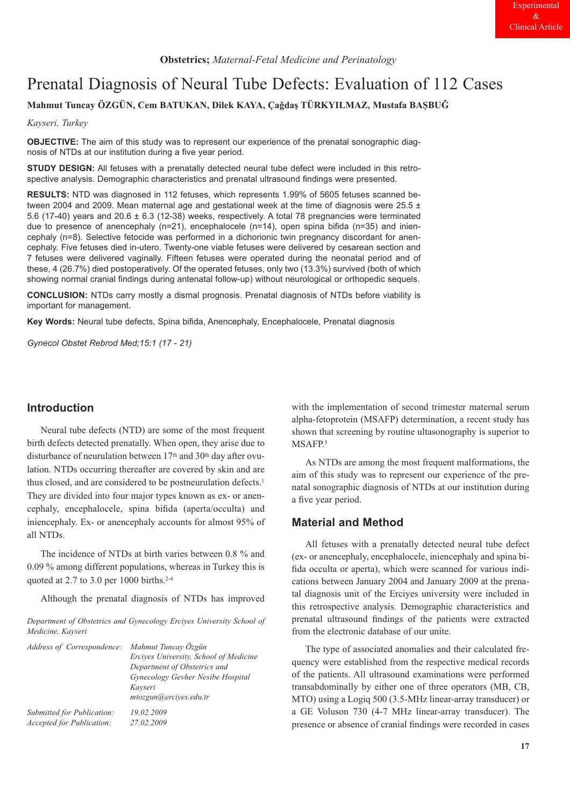# Prenatal Diagnosis of Neural Tube Defects: Evaluation of 112 Cases

**Mahmut Tuncay ÖZGÜN, Cem BATUKAN, Dilek KAYA, Çağdaş TÜRKYILMAZ, Mustafa BAŞBUĞ**

*Kayseri, Turkey*

**OBJECTIVE:** The aim of this study was to represent our experience of the prenatal sonographic diagnosis of NTDs at our institution during a five year period.

**STUDY DESIGN:** All fetuses with a prenatally detected neural tube defect were included in this retrospective analysis. Demographic characteristics and prenatal ultrasound findings were presented.

**RESULTS:** NTD was diagnosed in 112 fetuses, which represents 1.99% of 5605 fetuses scanned between 2004 and 2009. Mean maternal age and gestational week at the time of diagnosis were  $25.5 \pm$ 5.6 (17-40) years and 20.6 ± 6.3 (12-38) weeks, respectively. A total 78 pregnancies were terminated due to presence of anencephaly (n=21), encephalocele (n=14), open spina bifida (n=35) and iniencephaly (n=8). Selective fetocide was performed in a dichorionic twin pregnancy discordant for anencephaly. Five fetuses died in-utero. Twenty-one viable fetuses were delivered by cesarean section and 7 fetuses were delivered vaginally. Fifteen fetuses were operated during the neonatal period and of these, 4 (26.7%) died postoperatively. Of the operated fetuses, only two (13.3%) survived (both of which showing normal cranial findings during antenatal follow-up) without neurological or orthopedic sequels.

**CONCLUSION:** NTDs carry mostly a dismal prognosis. Prenatal diagnosis of NTDs before viability is important for management.

**Key Words:** Neural tube defects, Spina bifida, Anencephaly, Encephalocele, Prenatal diagnosis

*Gynecol Obstet Rebrod Med;15:1 (17 - 21)*

# **Introduction**

Neural tube defects (NTD) are some of the most frequent birth defects detected prenatally. When open, they arise due to disturbance of neurulation between 17<sup>th</sup> and 30<sup>th</sup> day after ovulation. NTDs occurring thereafter are covered by skin and are thus closed, and are considered to be postneurulation defects.<sup>1</sup> They are divided into four major types known as ex- or anencephaly, encephalocele, spina bifida (aperta/occulta) and iniencephaly. Ex- or anencephaly accounts for almost 95% of all NTDs.

The incidence of NTDs at birth varies between 0.8 % and 0.09 % among different populations, whereas in Turkey this is quoted at 2.7 to 3.0 per 1000 births.2-4

Although the prenatal diagnosis of NTDs has improved

*Department of Obstetrics and Gynecology Erciyes University School of Medicine, Kayseri* 

| Address of Correspondence:                              | Mahmut Tuncay Özgün<br>Ercives University, School of Medicine<br>Department of Obstetrics and |
|---------------------------------------------------------|-----------------------------------------------------------------------------------------------|
|                                                         | Gynecology Gevher Nesibe Hospital<br>Kayseri<br>mtozgun@ercives.edu.tr                        |
| Submitted for Publication:<br>Accepted for Publication: | 19.02.2009<br>27.02.2009                                                                      |

with the implementation of second trimester maternal serum alpha-fetoprotein (MSAFP) determination, a recent study has shown that screening by routine ultasonography is superior to MSAFP.<sup>5</sup>

As NTDs are among the most frequent malformations, the aim of this study was to represent our experience of the prenatal sonographic diagnosis of NTDs at our institution during a five year period.

# **Material and Method**

All fetuses with a prenatally detected neural tube defect (ex- or anencephaly, encephalocele, iniencephaly and spina bifida occulta or aperta), which were scanned for various indications between January 2004 and January 2009 at the prenatal diagnosis unit of the Erciyes university were included in this retrospective analysis. Demographic characteristics and prenatal ultrasound findings of the patients were extracted from the electronic database of our unite.

The type of associated anomalies and their calculated frequency were established from the respective medical records of the patients. All ultrasound examinations were performed transabdominally by either one of three operators (MB, CB, MTO) using a Logiq 500 (3.5-MHz linear-array transducer) or a GE Voluson 730 (4-7 MHz linear-array transducer). The presence or absence of cranial findings were recorded in cases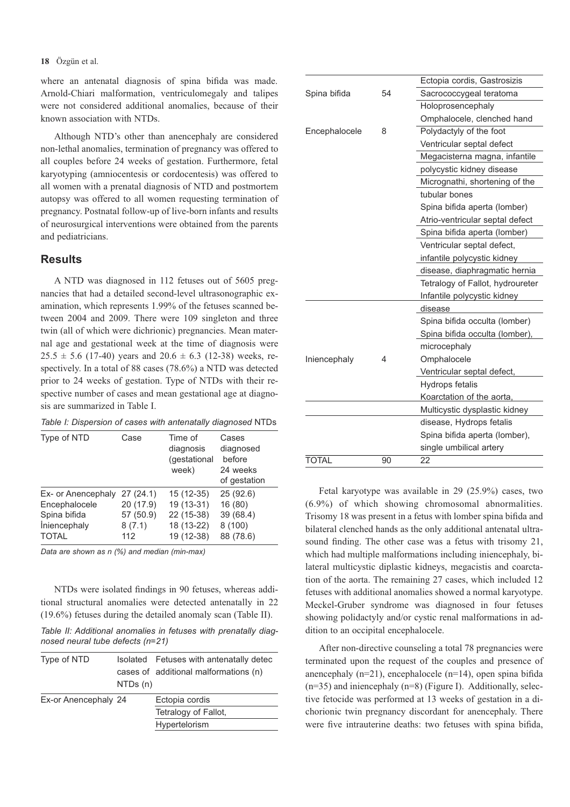#### **18** Özgün et al.

where an antenatal diagnosis of spina bifida was made. Arnold-Chiari malformation, ventriculomegaly and talipes were not considered additional anomalies, because of their known association with NTDs.

Although NTD's other than anencephaly are considered non-lethal anomalies, termination of pregnancy was offered to all couples before 24 weeks of gestation. Furthermore, fetal karyotyping (amniocentesis or cordocentesis) was offered to all women with a prenatal diagnosis of NTD and postmortem autopsy was offered to all women requesting termination of pregnancy. Postnatal follow-up of live-born infants and results of neurosurgical interventions were obtained from the parents and pediatricians.

## **Results**

A NTD was diagnosed in 112 fetuses out of 5605 pregnancies that had a detailed second-level ultrasonographic examination, which represents 1.99% of the fetuses scanned between 2004 and 2009. There were 109 singleton and three twin (all of which were dichrionic) pregnancies. Mean maternal age and gestational week at the time of diagnosis were  $25.5 \pm 5.6$  (17-40) years and  $20.6 \pm 6.3$  (12-38) weeks, respectively. In a total of 88 cases (78.6%) a NTD was detected prior to 24 weeks of gestation. Type of NTDs with their respective number of cases and mean gestational age at diagnosis are summarized in Table I.

| Table I: Dispersion of cases with antenatally diagnosed NTDs |  |  |  |  |
|--------------------------------------------------------------|--|--|--|--|
|--------------------------------------------------------------|--|--|--|--|

| Type of NTD         | Case      | Time of<br>diagnosis<br>(gestational<br>week) | Cases<br>diagnosed<br>before<br>24 weeks<br>of gestation |
|---------------------|-----------|-----------------------------------------------|----------------------------------------------------------|
| Ex- or Anencephaly  | 27(24.1)  | $15(12-35)$                                   | 25(92.6)                                                 |
| Encephalocele       | 20 (17.9) | 19 (13-31)                                    | 16(80)                                                   |
| Spina bifida        | 57 (50.9) | 22 (15-38)                                    | 39 (68.4)                                                |
| <i>iniencephaly</i> | 8(7.1)    | 18 (13-22)                                    | 8(100)                                                   |
| <b>TOTAL</b>        | 112       | 19 (12-38)                                    | 88 (78.6)                                                |

*Data are shown as n (%) and median (min-max)* 

NTDs were isolated findings in 90 fetuses, whereas additional structural anomalies were detected antenatally in 22 (19.6%) fetuses during the detailed anomaly scan (Table II).

*Table II: Additional anomalies in fetuses with prenatally diagnosed neural tube defects (n=21)*

| Type of NTD          |          | Isolated Fetuses with antenatally detec |
|----------------------|----------|-----------------------------------------|
|                      |          | cases of additional malformations (n)   |
|                      | NTDs (n) |                                         |
| Ex-or Anencephaly 24 |          | Ectopia cordis                          |
|                      |          | Tetralogy of Fallot,                    |
|                      |          | Hypertelorism                           |
|                      |          |                                         |

|               |    | Ectopia cordis, Gastrosizis      |  |  |
|---------------|----|----------------------------------|--|--|
| Spina bifida  | 54 | Sacrococcygeal teratoma          |  |  |
|               |    | Holoprosencephaly                |  |  |
|               |    | Omphalocele, clenched hand       |  |  |
| Encephalocele | 8  | Polydactyly of the foot          |  |  |
|               |    | Ventricular septal defect        |  |  |
|               |    | Megacisterna magna, infantile    |  |  |
|               |    | polycystic kidney disease        |  |  |
|               |    | Micrognathi, shortening of the   |  |  |
|               |    | tubular bones                    |  |  |
|               |    | Spina bifida aperta (lomber)     |  |  |
|               |    | Atrio-ventricular septal defect  |  |  |
|               |    | Spina bifida aperta (lomber)     |  |  |
|               |    | Ventricular septal defect,       |  |  |
|               |    | infantile polycystic kidney      |  |  |
|               |    | disease, diaphragmatic hernia    |  |  |
|               |    | Tetralogy of Fallot, hydroureter |  |  |
|               |    | Infantile polycystic kidney      |  |  |
|               |    | disease                          |  |  |
|               |    | Spina bifida occulta (lomber)    |  |  |
|               |    | Spina bifida occulta (lomber),   |  |  |
|               |    | microcephaly                     |  |  |
| Iniencephaly  | 4  | Omphalocele                      |  |  |
|               |    | Ventricular septal defect,       |  |  |
|               |    | Hydrops fetalis                  |  |  |
|               |    | Koarctation of the aorta.        |  |  |
|               |    | Multicystic dysplastic kidney    |  |  |
|               |    | disease, Hydrops fetalis         |  |  |
|               |    | Spina bifida aperta (lomber),    |  |  |
|               |    | single umbilical artery          |  |  |
| <b>TOTAL</b>  | 90 | 22                               |  |  |
|               |    |                                  |  |  |

Fetal karyotype was available in 29 (25.9%) cases, two (6.9%) of which showing chromosomal abnormalities. Trisomy 18 was present in a fetus with lomber spina bifida and bilateral clenched hands as the only additional antenatal ultrasound finding. The other case was a fetus with trisomy 21, which had multiple malformations including iniencephaly, bilateral multicystic diplastic kidneys, megacistis and coarctation of the aorta. The remaining 27 cases, which included 12 fetuses with additional anomalies showed a normal karyotype. Meckel-Gruber syndrome was diagnosed in four fetuses showing polidactyly and/or cystic renal malformations in addition to an occipital encephalocele.

After non-directive counseling a total 78 pregnancies were terminated upon the request of the couples and presence of anencephaly (n=21), encephalocele (n=14), open spina bifida  $(n=35)$  and iniencephaly  $(n=8)$  (Figure I). Additionally, selective fetocide was performed at 13 weeks of gestation in a dichorionic twin pregnancy discordant for anencephaly. There were five intrauterine deaths: two fetuses with spina bifida,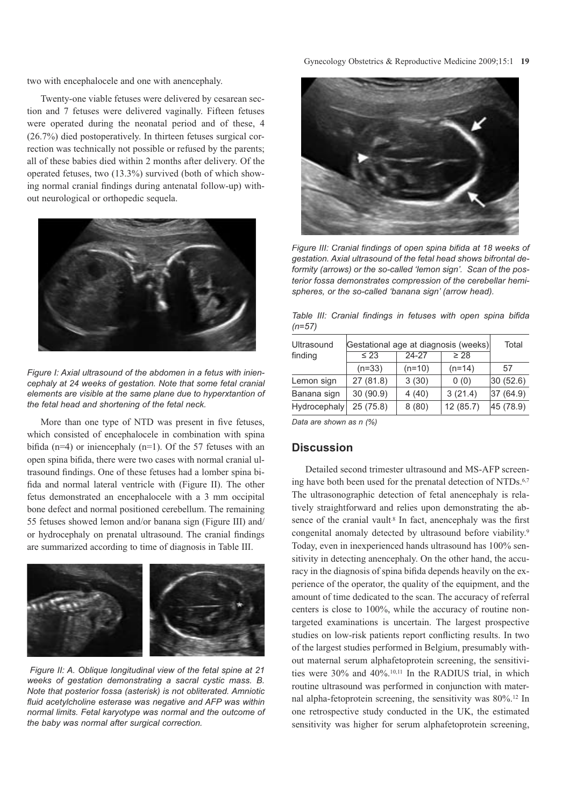two with encephalocele and one with anencephaly.

Twenty-one viable fetuses were delivered by cesarean section and 7 fetuses were delivered vaginally. Fifteen fetuses were operated during the neonatal period and of these, 4 (26.7%) died postoperatively. In thirteen fetuses surgical correction was technically not possible or refused by the parents; all of these babies died within 2 months after delivery. Of the operated fetuses, two (13.3%) survived (both of which showing normal cranial findings during antenatal follow-up) without neurological or orthopedic sequela.



*Figure I: Axial ultrasound of the abdomen in a fetus with iniencephaly at 24 weeks of gestation. Note that some fetal cranial elements are visible at the same plane due to hyperxtantion of the fetal head and shortening of the fetal neck.*

More than one type of NTD was present in five fetuses, which consisted of encephalocele in combination with spina bifida (n=4) or iniencephaly (n=1). Of the 57 fetuses with an open spina bifida, there were two cases with normal cranial ultrasound findings. One of these fetuses had a lomber spina bifida and normal lateral ventricle with (Figure II). The other fetus demonstrated an encephalocele with a 3 mm occipital bone defect and normal positioned cerebellum. The remaining 55 fetuses showed lemon and/or banana sign (Figure III) and/ or hydrocephaly on prenatal ultrasound. The cranial findings are summarized according to time of diagnosis in Table III.



*Figure II: A. Oblique longitudinal view of the fetal spine at 21 weeks of gestation demonstrating a sacral cystic mass. B. Note that posterior fossa (asterisk) is not obliterated. Amniotic fluid acetylcholine esterase was negative and AFP was within normal limits. Fetal karyotype was normal and the outcome of the baby was normal after surgical correction.*



*Figure III: Cranial findings of open spina bifida at 18 weeks of gestation. Axial ultrasound of the fetal head shows bifrontal deformity (arrows) or the so-called 'lemon sign'. Scan of the posterior fossa demonstrates compression of the cerebellar hemispheres, or the so-called 'banana sign' (arrow head).*

*Table III: Cranial findings in fetuses with open spina bifida (n=57)* 

| Ultrasound   | Gestational age at diagnosis (weeks) | Total    |           |           |
|--------------|--------------------------------------|----------|-----------|-----------|
| finding      | $\leq 23$                            | 24-27    | $\geq 28$ |           |
|              | $(n=33)$                             | $(n=10)$ | $(n=14)$  | 57        |
| Lemon sign   | 27(81.8)                             | 3(30)    | 0(0)      | 30(52.6)  |
| Banana sign  | 30 (90.9)                            | 4(40)    | 3(21.4)   | 37 (64.9) |
| Hydrocephaly | 25(75.8)                             | 8(80)    | 12(85.7)  | 45 (78.9) |

*Data are shown as n (%)*

### **Discussion**

Detailed second trimester ultrasound and MS-AFP screening have both been used for the prenatal detection of NTDs.<sup>6,7</sup> The ultrasonographic detection of fetal anencephaly is relatively straightforward and relies upon demonstrating the absence of the cranial vault<sup>8</sup> In fact, anencephaly was the first congenital anomaly detected by ultrasound before viability.9 Today, even in inexperienced hands ultrasound has 100% sensitivity in detecting anencephaly. On the other hand, the accuracy in the diagnosis of spina bifida depends heavily on the experience of the operator, the quality of the equipment, and the amount of time dedicated to the scan. The accuracy of referral centers is close to 100%, while the accuracy of routine nontargeted examinations is uncertain. The largest prospective studies on low-risk patients report conflicting results. In two of the largest studies performed in Belgium, presumably without maternal serum alphafetoprotein screening, the sensitivities were 30% and 40%.10,11 In the RADIUS trial, in which routine ultrasound was performed in conjunction with maternal alpha-fetoprotein screening, the sensitivity was 80%.12 In one retrospective study conducted in the UK, the estimated sensitivity was higher for serum alphafetoprotein screening,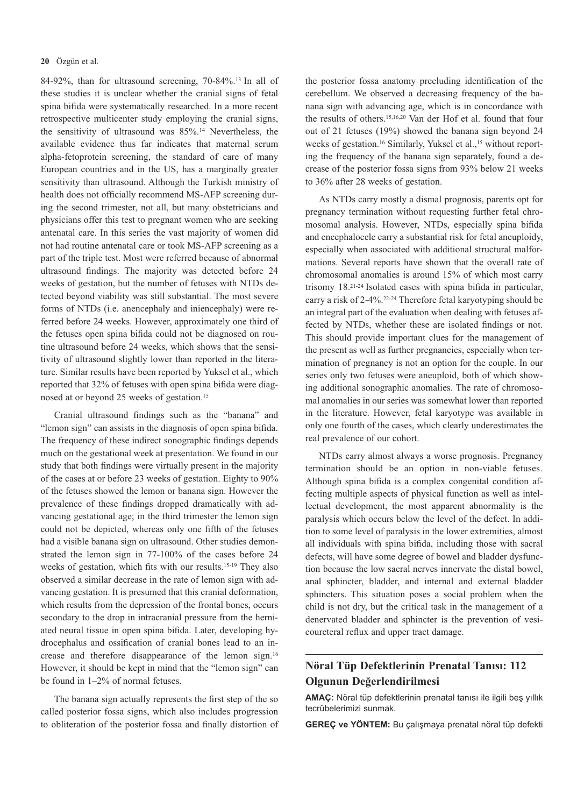#### **20** Özgün et al.

84-92%, than for ultrasound screening, 70-84%.13 In all of these studies it is unclear whether the cranial signs of fetal spina bifida were systematically researched. In a more recent retrospective multicenter study employing the cranial signs, the sensitivity of ultrasound was 85%.14 Nevertheless, the available evidence thus far indicates that maternal serum alpha-fetoprotein screening, the standard of care of many European countries and in the US, has a marginally greater sensitivity than ultrasound. Although the Turkish ministry of health does not officially recommend MS-AFP screening during the second trimester, not all, but many obstetricians and physicians offer this test to pregnant women who are seeking antenatal care. In this series the vast majority of women did not had routine antenatal care or took MS-AFP screening as a part of the triple test. Most were referred because of abnormal ultrasound findings. The majority was detected before 24 weeks of gestation, but the number of fetuses with NTDs detected beyond viability was still substantial. The most severe forms of NTDs (i.e. anencephaly and iniencephaly) were referred before 24 weeks. However, approximately one third of the fetuses open spina bifida could not be diagnosed on routine ultrasound before 24 weeks, which shows that the sensitivity of ultrasound slightly lower than reported in the literature. Similar results have been reported by Yuksel et al., which reported that 32% of fetuses with open spina bifida were diagnosed at or beyond 25 weeks of gestation.15

Cranial ultrasound findings such as the "banana" and "lemon sign" can assists in the diagnosis of open spina bifida. The frequency of these indirect sonographic findings depends much on the gestational week at presentation. We found in our study that both findings were virtually present in the majority of the cases at or before 23 weeks of gestation. Eighty to 90% of the fetuses showed the lemon or banana sign. However the prevalence of these findings dropped dramatically with advancing gestational age; in the third trimester the lemon sign could not be depicted, whereas only one fifth of the fetuses had a visible banana sign on ultrasound. Other studies demonstrated the lemon sign in 77-100% of the cases before 24 weeks of gestation, which fits with our results.15-19 They also observed a similar decrease in the rate of lemon sign with advancing gestation. It is presumed that this cranial deformation, which results from the depression of the frontal bones, occurs secondary to the drop in intracranial pressure from the herniated neural tissue in open spina bifida. Later, developing hydrocephalus and ossification of cranial bones lead to an increase and therefore disappearance of the lemon sign.16 However, it should be kept in mind that the "lemon sign" can be found in 1–2% of normal fetuses.

The banana sign actually represents the first step of the so called posterior fossa signs, which also includes progression to obliteration of the posterior fossa and finally distortion of the posterior fossa anatomy precluding identification of the cerebellum. We observed a decreasing frequency of the banana sign with advancing age, which is in concordance with the results of others.15,16,20 Van der Hof et al. found that four out of 21 fetuses (19%) showed the banana sign beyond 24 weeks of gestation.<sup>16</sup> Similarly, Yuksel et al.,<sup>15</sup> without reporting the frequency of the banana sign separately, found a decrease of the posterior fossa signs from 93% below 21 weeks to 36% after 28 weeks of gestation.

As NTDs carry mostly a dismal prognosis, parents opt for pregnancy termination without requesting further fetal chromosomal analysis. However, NTDs, especially spina bifida and encephalocele carry a substantial risk for fetal aneuploidy, especially when associated with additional structural malformations. Several reports have shown that the overall rate of chromosomal anomalies is around 15% of which most carry trisomy 18.21-24 Isolated cases with spina bifida in particular, carry a risk of 2-4%.22-24 Therefore fetal karyotyping should be an integral part of the evaluation when dealing with fetuses affected by NTDs, whether these are isolated findings or not. This should provide important clues for the management of the present as well as further pregnancies, especially when termination of pregnancy is not an option for the couple. In our series only two fetuses were aneuploid, both of which showing additional sonographic anomalies. The rate of chromosomal anomalies in our series was somewhat lower than reported in the literature. However, fetal karyotype was available in only one fourth of the cases, which clearly underestimates the real prevalence of our cohort.

NTDs carry almost always a worse prognosis. Pregnancy termination should be an option in non-viable fetuses. Although spina bifida is a complex congenital condition affecting multiple aspects of physical function as well as intellectual development, the most apparent abnormality is the paralysis which occurs below the level of the defect. In addition to some level of paralysis in the lower extremities, almost all individuals with spina bifida, including those with sacral defects, will have some degree of bowel and bladder dysfunction because the low sacral nerves innervate the distal bowel, anal sphincter, bladder, and internal and external bladder sphincters. This situation poses a social problem when the child is not dry, but the critical task in the management of a denervated bladder and sphincter is the prevention of vesicoureteral reflux and upper tract damage.

# **Nöral Tüp Defektlerinin Prenatal Tanısı: 112 Olgunun Değerlendirilmesi**

**AMAÇ:** Nöral tüp defektlerinin prenatal tanısı ile ilgili beş yıllık tecrübelerimizi sunmak.

**GEREÇ ve YÖNTEM:** Bu çalışmaya prenatal nöral tüp defekti